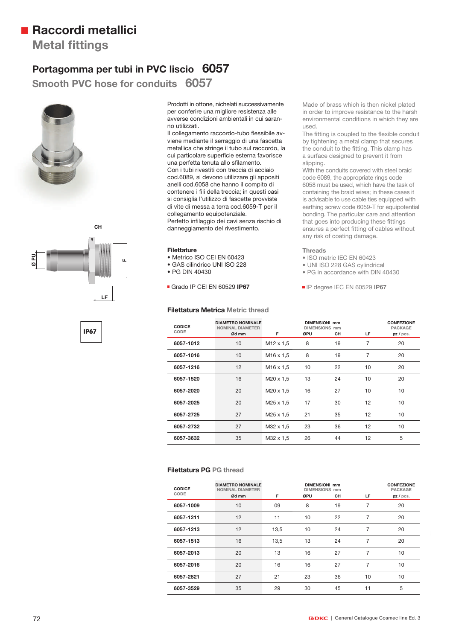# **Raccordi metallici**

**Metal fittings** 

### **Portagomma per tubi in PVC liscio 6057**

**Smooth PVC hose for conduits 6057 Smooth PVC hose for co**





**IP67**

Prodotti in ottone, nichelati successivamente per conferire una migliore resistenza alle avverse condizioni ambientali in cui saranno utilizzati.

Il collegamento raccordo-tubo flessibile avviene mediante il serraggio di una fascetta metallica che stringe il tubo sul raccordo, la cui particolare superficie esterna favorisce una perfetta tenuta allo sfilamento. Con i tubi rivestiti con treccia di acciaio cod.6089, si devono utilizzare gli appositi anelli cod.6058 che hanno il compito di contenere i fili della treccia; in questi casi si consiglia l'utilizzo di fascette provviste di vite di messa a terra cod.6059-T per il collegamento equipotenziale. Perfetto infilaggio dei cavi senza rischio di danneggiamento del rivestimento.

#### **Filettature**

- Metrico ISO CEI EN 60423
- GAS cilindrico UNI ISO 228
- PG DIN 40430

Grado IP CEI EN 60529 **IP67**

#### **Filettatura Metrica Metric thread**

Made of brass which is then nickel plated in order to improve resistance to the harsh environmental conditions in which they are used.

The fitting is coupled to the flexible conduit by tightening a metal clamp that secures the conduit to the fitting. This clamp has a surface designed to prevent it from slipping.

With the conduits covered with steel braid code 6089, the appropriate rings code 6058 must be used, which have the task of containing the braid wires; in these cases it is advisable to use cable ties equipped with earthing screw code 6059-T for equipotential bonding. The particular care and attention that goes into producing these fittings ensures a perfect fitting of cables without any risk of coating damage.

#### **Threads**

- ISO metric IEC EN 60423
- UNI ISO 228 GAS cylindrical
- PG in accordance with DIN 40430
- IP degree IEC EN 60529 **IP67**

| <b>CODICE</b><br>CODE | <b>DIAMETRO NOMINALE</b><br><b>NOMINAL DIAMETER</b><br>Ød mm | F                     | ØPU | <b>DIMENSIONI mm</b><br><b>DIMENSIONS mm</b><br>CН | LF | <b>CONFEZIONE</b><br><b>PACKAGE</b><br>pz/pcs. |
|-----------------------|--------------------------------------------------------------|-----------------------|-----|----------------------------------------------------|----|------------------------------------------------|
| 6057-1012             | 10                                                           | M <sub>12</sub> x 1.5 | 8   | 19                                                 | 7  | 20                                             |
| 6057-1016             | 10                                                           | M <sub>16</sub> x 1.5 | 8   | 19                                                 | 7  | 20                                             |
| 6057-1216             | 12                                                           | M <sub>16</sub> x 1.5 | 10  | 22                                                 | 10 | 20                                             |
| 6057-1520             | 16                                                           | M20 x 1,5             | 13  | 24                                                 | 10 | 20                                             |
| 6057-2020             | 20                                                           | M20 x 1.5             | 16  | 27                                                 | 10 | 10                                             |
| 6057-2025             | 20                                                           | M <sub>25</sub> x 1,5 | 17  | 30                                                 | 12 | 10                                             |
| 6057-2725             | 27                                                           | M <sub>25</sub> x 1,5 | 21  | 35                                                 | 12 | 10                                             |
| 6057-2732             | 27                                                           | M32 x 1,5             | 23  | 36                                                 | 12 | 10                                             |
| 6057-3632             | 35                                                           | M32 x 1,5             | 26  | 44                                                 | 12 | 5                                              |

#### **Filettatura PG PG thread**

| <b>CODICE</b> | <b>DIAMETRO NOMINALE</b><br><b>NOMINAL DIAMETER</b> | <b>DIMENSIONI mm</b><br><b>DIMENSIONS mm</b> |     |    |    | <b>CONFEZIONE</b><br><b>PACKAGE</b> |
|---------------|-----------------------------------------------------|----------------------------------------------|-----|----|----|-------------------------------------|
| CODE          | Ød mm                                               | F                                            | ØPU | CН | LF | pz/pcs.                             |
| 6057-1009     | 10                                                  | 09                                           | 8   | 19 | 7  | 20                                  |
| 6057-1211     | 12                                                  | 11                                           | 10  | 22 | 7  | 20                                  |
| 6057-1213     | 12                                                  | 13.5                                         | 10  | 24 | 7  | 20                                  |
| 6057-1513     | 16                                                  | 13,5                                         | 13  | 24 | 7  | 20                                  |
| 6057-2013     | 20                                                  | 13                                           | 16  | 27 | 7  | 10                                  |
| 6057-2016     | 20                                                  | 16                                           | 16  | 27 | 7  | 10                                  |
| 6057-2821     | 27                                                  | 21                                           | 23  | 36 | 10 | 10                                  |
| 6057-3529     | 35                                                  | 29                                           | 30  | 45 | 11 | 5                                   |